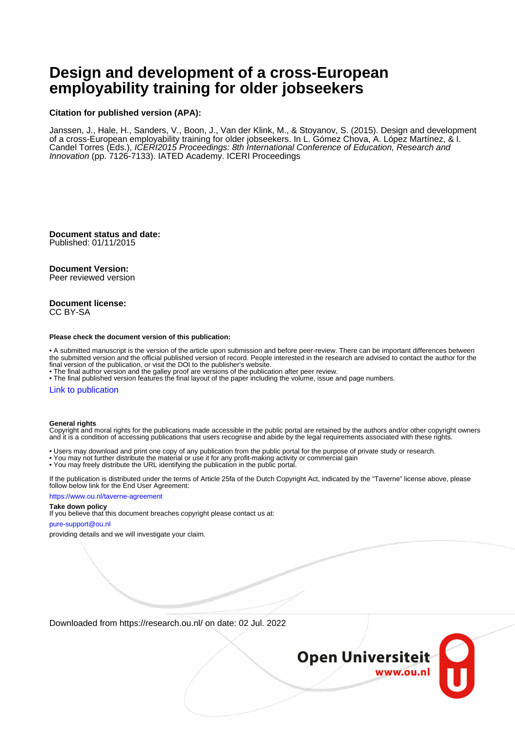# **Design and development of a cross-European employability training for older jobseekers**

### **Citation for published version (APA):**

Janssen, J., Hale, H., Sanders, V., Boon, J., Van der Klink, M., & Stoyanov, S. (2015). Design and development of a cross-European employability training for older jobseekers. In L. Gómez Chova, A. López Martínez, & I. Candel Torres (Eds.), ICERI2015 Proceedings: 8th International Conference of Education, Research and Innovation (pp. 7126-7133). IATED Academy. ICERI Proceedings

**Document status and date:** Published: 01/11/2015

### **Document Version:**

Peer reviewed version

#### **Document license:** CC BY-SA

#### **Please check the document version of this publication:**

• A submitted manuscript is the version of the article upon submission and before peer-review. There can be important differences between the submitted version and the official published version of record. People interested in the research are advised to contact the author for the final version of the publication, or visit the DOI to the publisher's website.

• The final author version and the galley proof are versions of the publication after peer review.

• The final published version features the final layout of the paper including the volume, issue and page numbers.

#### [Link to publication](https://research.ou.nl/en/publications/3e3c005c-d29e-4bbd-8ce2-e21dbab31fbc)

#### **General rights**

Copyright and moral rights for the publications made accessible in the public portal are retained by the authors and/or other copyright owners and it is a condition of accessing publications that users recognise and abide by the legal requirements associated with these rights.

- Users may download and print one copy of any publication from the public portal for the purpose of private study or research.
- You may not further distribute the material or use it for any profit-making activity or commercial gain
- You may freely distribute the URL identifying the publication in the public portal.

If the publication is distributed under the terms of Article 25fa of the Dutch Copyright Act, indicated by the "Taverne" license above, please follow below link for the End User Agreement:

#### https://www.ou.nl/taverne-agreement

### **Take down policy**

If you believe that this document breaches copyright please contact us at:

#### pure-support@ou.nl

providing details and we will investigate your claim.

Downloaded from https://research.ou.nl/ on date: 02 Jul. 2022

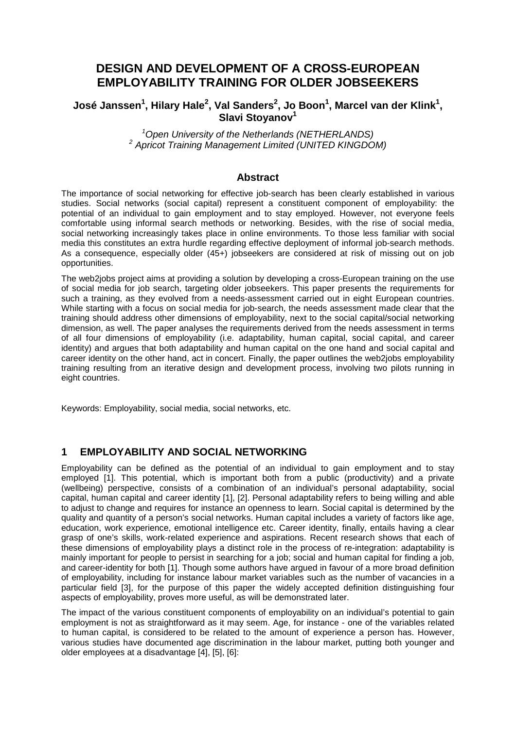# **DESIGN AND DEVELOPMENT OF A CROSS-EUROPEAN EMPLOYABILITY TRAINING FOR OLDER JOBSEEKERS**

# **José Janssen<sup>1</sup>, Hilary Hale<sup>2</sup>, Val Sanders<sup>2</sup>, Jo Boon<sup>1</sup>, Marcel van der Klink<sup>1</sup>,** Slavi Stoyanov<sup>1</sup>

*1 Open University of the Netherlands (NETHERLANDS) <sup>2</sup> Apricot Training Management Limited (UNITED KINGDOM)*

### **Abstract**

The importance of social networking for effective job-search has been clearly established in various studies. Social networks (social capital) represent a constituent component of employability: the potential of an individual to gain employment and to stay employed. However, not everyone feels comfortable using informal search methods or networking. Besides, with the rise of social media, social networking increasingly takes place in online environments. To those less familiar with social media this constitutes an extra hurdle regarding effective deployment of informal job-search methods. As a consequence, especially older (45+) jobseekers are considered at risk of missing out on job opportunities.

The web2jobs project aims at providing a solution by developing a cross-European training on the use of social media for job search, targeting older jobseekers. This paper presents the requirements for such a training, as they evolved from a needs-assessment carried out in eight European countries. While starting with a focus on social media for job-search, the needs assessment made clear that the training should address other dimensions of employability, next to the social capital/social networking dimension, as well. The paper analyses the requirements derived from the needs assessment in terms of all four dimensions of employability (i.e. adaptability, human capital, social capital, and career identity) and argues that both adaptability and human capital on the one hand and social capital and career identity on the other hand, act in concert. Finally, the paper outlines the web2jobs employability training resulting from an iterative design and development process, involving two pilots running in eight countries.

Keywords: Employability, social media, social networks, etc.

# **1 EMPLOYABILITY AND SOCIAL NETWORKING**

Employability can be defined as the potential of an individual to gain employment and to stay employed [1]. This potential, which is important both from a public (productivity) and a private (wellbeing) perspective, consists of a combination of an individual's personal adaptability, social capital, human capital and career identity [1], [2]. Personal adaptability refers to being willing and able to adjust to change and requires for instance an openness to learn. Social capital is determined by the quality and quantity of a person's social networks. Human capital includes a variety of factors like age, education, work experience, emotional intelligence etc. Career identity, finally, entails having a clear grasp of one's skills, work-related experience and aspirations. Recent research shows that each of these dimensions of employability plays a distinct role in the process of re-integration: adaptability is mainly important for people to persist in searching for a job; social and human capital for finding a job, and career-identity for both [1]. Though some authors have argued in favour of a more broad definition of employability, including for instance labour market variables such as the number of vacancies in a particular field [3], for the purpose of this paper the widely accepted definition distinguishing four aspects of employability, proves more useful, as will be demonstrated later.

The impact of the various constituent components of employability on an individual's potential to gain employment is not as straightforward as it may seem. Age, for instance - one of the variables related to human capital, is considered to be related to the amount of experience a person has. However, various studies have documented age discrimination in the labour market, putting both younger and older employees at a disadvantage [4], [5], [6]: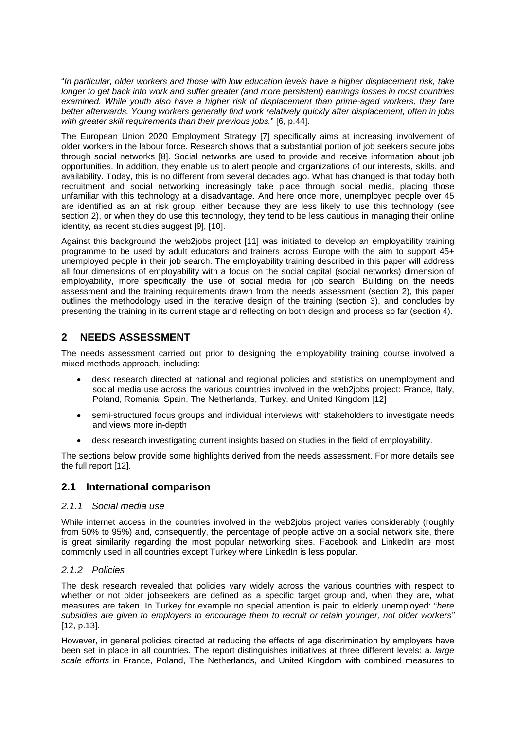"*In particular, older workers and those with low education levels have a higher displacement risk, take longer to get back into work and suffer greater (and more persistent) earnings losses in most countries examined. While youth also have a higher risk of displacement than prime-aged workers, they fare better afterwards. Young workers generally find work relatively quickly after displacement, often in jobs with greater skill requirements than their previous jobs.*" [6, p.44].

The European Union 2020 Employment Strategy [7] specifically aims at increasing involvement of older workers in the labour force. Research shows that a substantial portion of job seekers secure jobs through social networks [8]. Social networks are used to provide and receive information about job opportunities. In addition, they enable us to alert people and organizations of our interests, skills, and availability. Today, this is no different from several decades ago. What has changed is that today both recruitment and social networking increasingly take place through social media, placing those unfamiliar with this technology at a disadvantage. And here once more, unemployed people over 45 are identified as an at risk group, either because they are less likely to use this technology (see section 2), or when they do use this technology, they tend to be less cautious in managing their online identity, as recent studies suggest [9], [10].

Against this background the web2jobs project [11] was initiated to develop an employability training programme to be used by adult educators and trainers across Europe with the aim to support 45+ unemployed people in their job search. The employability training described in this paper will address all four dimensions of employability with a focus on the social capital (social networks) dimension of employability, more specifically the use of social media for job search. Building on the needs assessment and the training requirements drawn from the needs assessment (section 2), this paper outlines the methodology used in the iterative design of the training (section 3), and concludes by presenting the training in its current stage and reflecting on both design and process so far (section 4).

# **2 NEEDS ASSESSMENT**

The needs assessment carried out prior to designing the employability training course involved a mixed methods approach, including:

- desk research directed at national and regional policies and statistics on unemployment and social media use across the various countries involved in the web2jobs project: France, Italy, Poland, Romania, Spain, The Netherlands, Turkey, and United Kingdom [12]
- semi-structured focus groups and individual interviews with stakeholders to investigate needs and views more in-depth
- desk research investigating current insights based on studies in the field of employability.

The sections below provide some highlights derived from the needs assessment. For more details see the full report [12].

## **2.1 International comparison**

### *2.1.1 Social media use*

While internet access in the countries involved in the web2jobs project varies considerably (roughly from 50% to 95%) and, consequently, the percentage of people active on a social network site, there is great similarity regarding the most popular networking sites. Facebook and LinkedIn are most commonly used in all countries except Turkey where LinkedIn is less popular.

### *2.1.2 Policies*

The desk research revealed that policies vary widely across the various countries with respect to whether or not older jobseekers are defined as a specific target group and, when they are, what measures are taken. In Turkey for example no special attention is paid to elderly unemployed: "*here subsidies are given to employers to encourage them to recruit or retain younger, not older workers"*  [12, p.13].

However, in general policies directed at reducing the effects of age discrimination by employers have been set in place in all countries. The report distinguishes initiatives at three different levels: a. *large scale efforts* in France, Poland, The Netherlands, and United Kingdom with combined measures to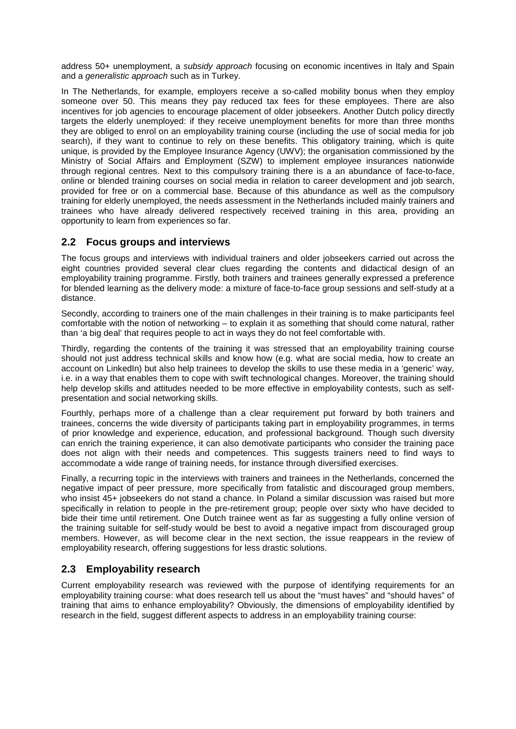address 50+ unemployment, a *subsidy approach* focusing on economic incentives in Italy and Spain and a *generalistic approach* such as in Turkey.

In The Netherlands, for example, employers receive a so-called mobility bonus when they employ someone over 50. This means they pay reduced tax fees for these employees. There are also incentives for job agencies to encourage placement of older jobseekers. Another Dutch policy directly targets the elderly unemployed: if they receive unemployment benefits for more than three months they are obliged to enrol on an employability training course (including the use of social media for job search), if they want to continue to rely on these benefits. This obligatory training, which is quite unique, is provided by the Employee Insurance Agency (UWV); the organisation commissioned by the Ministry of Social Affairs and Employment (SZW) to implement employee insurances nationwide through regional centres. Next to this compulsory training there is a an abundance of face-to-face, online or blended training courses on social media in relation to career development and job search, provided for free or on a commercial base. Because of this abundance as well as the compulsory training for elderly unemployed, the needs assessment in the Netherlands included mainly trainers and trainees who have already delivered respectively received training in this area, providing an opportunity to learn from experiences so far.

## **2.2 Focus groups and interviews**

The focus groups and interviews with individual trainers and older jobseekers carried out across the eight countries provided several clear clues regarding the contents and didactical design of an employability training programme. Firstly, both trainers and trainees generally expressed a preference for blended learning as the delivery mode: a mixture of face-to-face group sessions and self-study at a distance.

Secondly, according to trainers one of the main challenges in their training is to make participants feel comfortable with the notion of networking – to explain it as something that should come natural, rather than 'a big deal' that requires people to act in ways they do not feel comfortable with.

Thirdly, regarding the contents of the training it was stressed that an employability training course should not just address technical skills and know how (e.g. what are social media, how to create an account on LinkedIn) but also help trainees to develop the skills to use these media in a 'generic' way, i.e. in a way that enables them to cope with swift technological changes. Moreover, the training should help develop skills and attitudes needed to be more effective in employability contests, such as selfpresentation and social networking skills.

Fourthly, perhaps more of a challenge than a clear requirement put forward by both trainers and trainees, concerns the wide diversity of participants taking part in employability programmes, in terms of prior knowledge and experience, education, and professional background. Though such diversity can enrich the training experience, it can also demotivate participants who consider the training pace does not align with their needs and competences. This suggests trainers need to find ways to accommodate a wide range of training needs, for instance through diversified exercises.

Finally, a recurring topic in the interviews with trainers and trainees in the Netherlands, concerned the negative impact of peer pressure, more specifically from fatalistic and discouraged group members, who insist 45+ jobseekers do not stand a chance. In Poland a similar discussion was raised but more specifically in relation to people in the pre-retirement group; people over sixty who have decided to bide their time until retirement. One Dutch trainee went as far as suggesting a fully online version of the training suitable for self-study would be best to avoid a negative impact from discouraged group members. However, as will become clear in the next section, the issue reappears in the review of employability research, offering suggestions for less drastic solutions.

# **2.3 Employability research**

Current employability research was reviewed with the purpose of identifying requirements for an employability training course: what does research tell us about the "must haves" and "should haves" of training that aims to enhance employability? Obviously, the dimensions of employability identified by research in the field, suggest different aspects to address in an employability training course: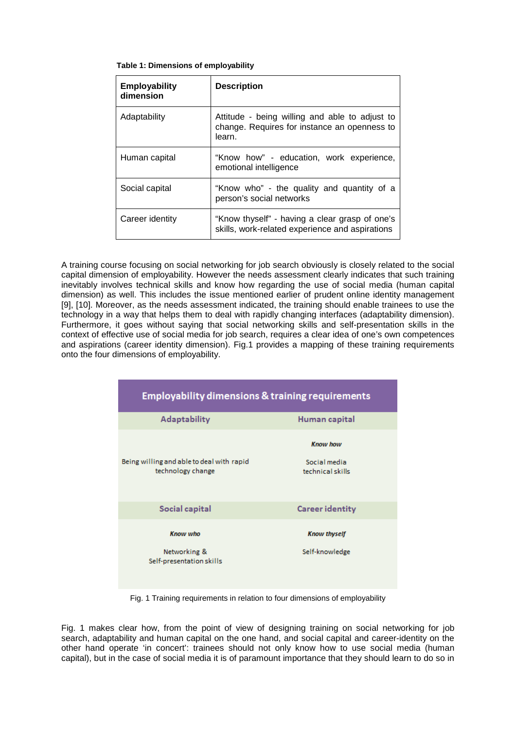|  |  | Table 1: Dimensions of employability |  |
|--|--|--------------------------------------|--|
|--|--|--------------------------------------|--|

| <b>Employability</b><br>dimension | <b>Description</b>                                                                                       |
|-----------------------------------|----------------------------------------------------------------------------------------------------------|
| Adaptability                      | Attitude - being willing and able to adjust to<br>change. Requires for instance an openness to<br>learn. |
| Human capital                     | "Know how" - education, work experience,<br>emotional intelligence                                       |
| Social capital                    | "Know who" - the quality and quantity of a<br>person's social networks                                   |
| Career identity                   | "Know thyself" - having a clear grasp of one's<br>skills, work-related experience and aspirations        |

A training course focusing on social networking for job search obviously is closely related to the social capital dimension of employability. However the needs assessment clearly indicates that such training inevitably involves technical skills and know how regarding the use of social media (human capital dimension) as well. This includes the issue mentioned earlier of prudent online identity management [9], [10]. Moreover, as the needs assessment indicated, the training should enable trainees to use the technology in a way that helps them to deal with rapidly changing interfaces (adaptability dimension). Furthermore, it goes without saying that social networking skills and self-presentation skills in the context of effective use of social media for job search, requires a clear idea of one's own competences and aspirations (career identity dimension). Fig.1 provides a mapping of these training requirements onto the four dimensions of employability.

| <b>Employability dimensions &amp; training requirements</b>    |                                                     |  |
|----------------------------------------------------------------|-----------------------------------------------------|--|
| <b>Adaptability</b>                                            | Human capital                                       |  |
| Being willing and able to deal with rapid<br>technology change | <b>Know how</b><br>Social media<br>technical skills |  |
| Social capital                                                 | <b>Career identity</b>                              |  |
| <b>Know who</b><br>Networking &<br>Self-presentation skills    | <b>Know thyself</b><br>Self-knowledge               |  |

Fig. 1 Training requirements in relation to four dimensions of employability

Fig. 1 makes clear how, from the point of view of designing training on social networking for job search, adaptability and human capital on the one hand, and social capital and career-identity on the other hand operate 'in concert': trainees should not only know how to use social media (human capital), but in the case of social media it is of paramount importance that they should learn to do so in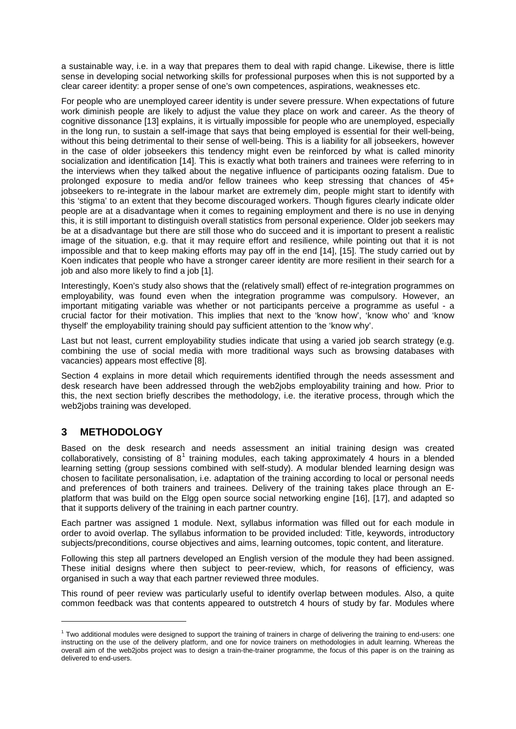a sustainable way, i.e. in a way that prepares them to deal with rapid change. Likewise, there is little sense in developing social networking skills for professional purposes when this is not supported by a clear career identity: a proper sense of one's own competences, aspirations, weaknesses etc.

For people who are unemployed career identity is under severe pressure. When expectations of future work diminish people are likely to adjust the value they place on work and career. As the theory of cognitive dissonance [13] explains, it is virtually impossible for people who are unemployed, especially in the long run, to sustain a self-image that says that being employed is essential for their well-being, without this being detrimental to their sense of well-being. This is a liability for all jobseekers, however in the case of older jobseekers this tendency might even be reinforced by what is called minority socialization and identification [14]. This is exactly what both trainers and trainees were referring to in the interviews when they talked about the negative influence of participants oozing fatalism. Due to prolonged exposure to media and/or fellow trainees who keep stressing that chances of 45+ jobseekers to re-integrate in the labour market are extremely dim, people might start to identify with this 'stigma' to an extent that they become discouraged workers. Though figures clearly indicate older people are at a disadvantage when it comes to regaining employment and there is no use in denying this, it is still important to distinguish overall statistics from personal experience. Older job seekers may be at a disadvantage but there are still those who do succeed and it is important to present a realistic image of the situation, e.g. that it may require effort and resilience, while pointing out that it is not impossible and that to keep making efforts may pay off in the end [14], [15]. The study carried out by Koen indicates that people who have a stronger career identity are more resilient in their search for a job and also more likely to find a job [1].

Interestingly, Koen's study also shows that the (relatively small) effect of re-integration programmes on employability, was found even when the integration programme was compulsory. However, an important mitigating variable was whether or not participants perceive a programme as useful - a crucial factor for their motivation. This implies that next to the 'know how', 'know who' and 'know thyself' the employability training should pay sufficient attention to the 'know why'.

Last but not least, current employability studies indicate that using a varied job search strategy (e.g. combining the use of social media with more traditional ways such as browsing databases with vacancies) appears most effective [8].

Section 4 explains in more detail which requirements identified through the needs assessment and desk research have been addressed through the web2jobs employability training and how. Prior to this, the next section briefly describes the methodology, i.e. the iterative process, through which the web2jobs training was developed.

# **3 METHODOLOGY**

-

Based on the desk research and needs assessment an initial training design was created collaboratively, consisting of  $8<sup>1</sup>$  $8<sup>1</sup>$  $8<sup>1</sup>$  training modules, each taking approximately 4 hours in a blended learning setting (group sessions combined with self-study). A modular blended learning design was chosen to facilitate personalisation, i.e. adaptation of the training according to local or personal needs and preferences of both trainers and trainees. Delivery of the training takes place through an Eplatform that was build on the Elgg open source social networking engine [16], [17], and adapted so that it supports delivery of the training in each partner country.

Each partner was assigned 1 module. Next, syllabus information was filled out for each module in order to avoid overlap. The syllabus information to be provided included: Title, keywords, introductory subjects/preconditions, course objectives and aims, learning outcomes, topic content, and literature.

Following this step all partners developed an English version of the module they had been assigned. These initial designs where then subject to peer-review, which, for reasons of efficiency, was organised in such a way that each partner reviewed three modules.

This round of peer review was particularly useful to identify overlap between modules. Also, a quite common feedback was that contents appeared to outstretch 4 hours of study by far. Modules where

<span id="page-5-0"></span> $1$  Two additional modules were designed to support the training of trainers in charge of delivering the training to end-users: one instructing on the use of the delivery platform, and one for novice trainers on methodologies in adult learning. Whereas the overall aim of the web2jobs project was to design a train-the-trainer programme, the focus of this paper is on the training as delivered to end-users.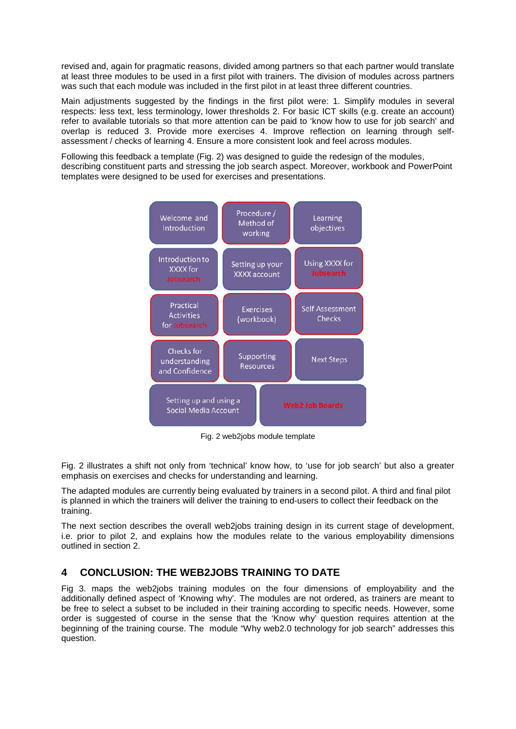revised and, again for pragmatic reasons, divided among partners so that each partner would translate at least three modules to be used in a first pilot with trainers. The division of modules across partners was such that each module was included in the first pilot in at least three different countries.

Main adjustments suggested by the findings in the first pilot were: 1. Simplify modules in several respects: less text, less terminology, lower thresholds 2. For basic ICT skills (e.g. create an account) refer to available tutorials so that more attention can be paid to 'know how to use for job search' and overlap is reduced 3. Provide more exercises 4. Improve reflection on learning through selfassessment / checks of learning 4. Ensure a more consistent look and feel across modules.

Following this feedback a template (Fig. 2) was designed to guide the redesign of the modules, describing constituent parts and stressing the job search aspect. Moreover, workbook and PowerPoint templates were designed to be used for exercises and presentations.



Fig. 2 web2jobs module template

Fig. 2 illustrates a shift not only from 'technical' know how, to 'use for job search' but also a greater emphasis on exercises and checks for understanding and learning.

The adapted modules are currently being evaluated by trainers in a second pilot. A third and final pilot is planned in which the trainers will deliver the training to end-users to collect their feedback on the training.

The next section describes the overall web2jobs training design in its current stage of development, i.e. prior to pilot 2, and explains how the modules relate to the various employability dimensions outlined in section 2.

# **4 CONCLUSION: THE WEB2JOBS TRAINING TO DATE**

Fig 3. maps the web2jobs training modules on the four dimensions of employability and the additionally defined aspect of 'Knowing why'. The modules are not ordered, as trainers are meant to be free to select a subset to be included in their training according to specific needs. However, some order is suggested of course in the sense that the 'Know why' question requires attention at the beginning of the training course. The module "Why web2.0 technology for job search" addresses this question.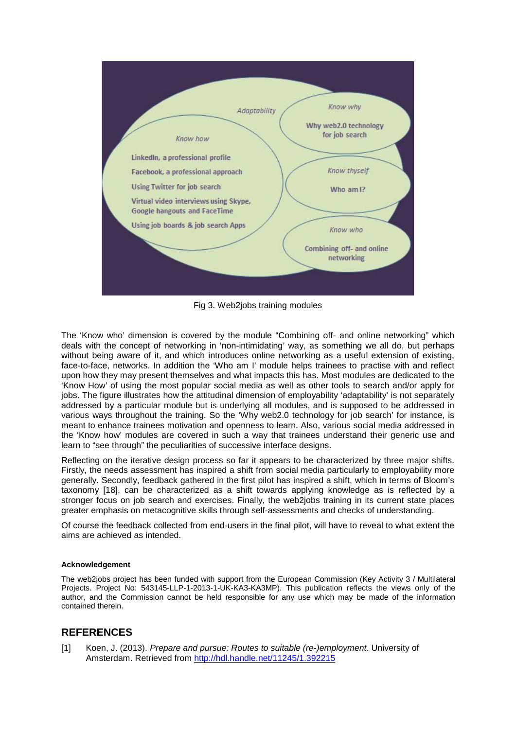

Fig 3. Web2jobs training modules

The 'Know who' dimension is covered by the module "Combining off- and online networking" which deals with the concept of networking in 'non-intimidating' way, as something we all do, but perhaps without being aware of it, and which introduces online networking as a useful extension of existing, face-to-face, networks. In addition the 'Who am I' module helps trainees to practise with and reflect upon how they may present themselves and what impacts this has. Most modules are dedicated to the 'Know How' of using the most popular social media as well as other tools to search and/or apply for jobs. The figure illustrates how the attitudinal dimension of employability 'adaptability' is not separately addressed by a particular module but is underlying all modules, and is supposed to be addressed in various ways throughout the training. So the 'Why web2.0 technology for job search' for instance, is meant to enhance trainees motivation and openness to learn. Also, various social media addressed in the 'Know how' modules are covered in such a way that trainees understand their generic use and learn to "see through" the peculiarities of successive interface designs.

Reflecting on the iterative design process so far it appears to be characterized by three major shifts. Firstly, the needs assessment has inspired a shift from social media particularly to employability more generally. Secondly, feedback gathered in the first pilot has inspired a shift, which in terms of Bloom's taxonomy [18], can be characterized as a shift towards applying knowledge as is reflected by a stronger focus on job search and exercises. Finally, the web2jobs training in its current state places greater emphasis on metacognitive skills through self-assessments and checks of understanding.

Of course the feedback collected from end-users in the final pilot, will have to reveal to what extent the aims are achieved as intended.

### **Acknowledgement**

The web2jobs project has been funded with support from the European Commission (Key Activity 3 / Multilateral Projects. Project No: 543145-LLP-1-2013-1-UK-KA3-KA3MP). This publication reflects the views only of the author, and the Commission cannot be held responsible for any use which may be made of the information contained therein.

## **REFERENCES**

[1] Koen, J. (2013). *Prepare and pursue: Routes to suitable (re-)employment*. University of Amsterdam. Retrieved from<http://hdl.handle.net/11245/1.392215>